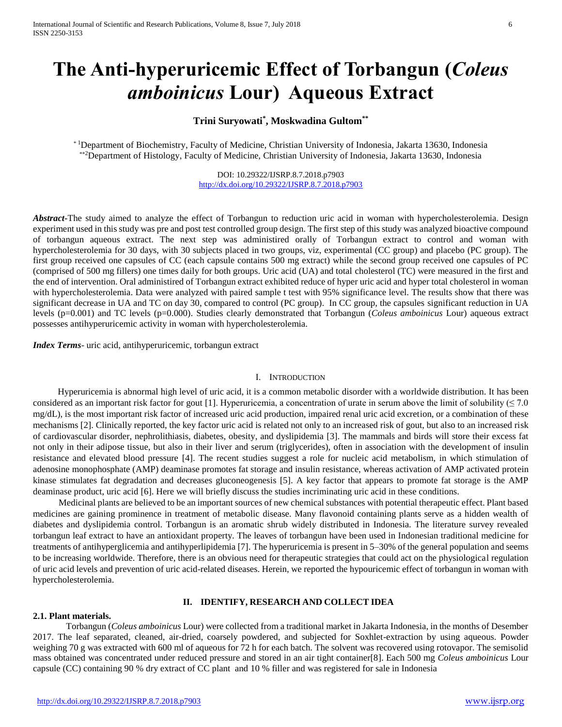# **The Anti-hyperuricemic Effect of Torbangun (***Coleus amboinicus* **Lour) Aqueous Extract**

# **Trini Suryowati\* , Moskwadina Gultom\*\***

\* <sup>1</sup>Department of Biochemistry, Faculty of Medicine, Christian University of Indonesia, Jakarta 13630, Indonesia \*\*<sup>2</sup>Department of Histology, Faculty of Medicine, Christian University of Indonesia, Jakarta 13630, Indonesia

> DOI: 10.29322/IJSRP.8.7.2018.p7903 <http://dx.doi.org/10.29322/IJSRP.8.7.2018.p7903>

Abstract<sup>-</sup>The study aimed to analyze the effect of Torbangun to reduction uric acid in woman with hypercholesterolemia. Design experiment used in this study was pre and post test controlled group design. The first step of this study was analyzed bioactive compound of torbangun aqueous extract. The next step was administired orally of Torbangun extract to control and woman with hypercholesterolemia for 30 days, with 30 subjects placed in two groups, viz, experimental (CC group) and placebo (PC group). The first group received one capsules of CC (each capsule contains 500 mg extract) while the second group received one capsules of PC (comprised of 500 mg fillers) one times daily for both groups. Uric acid (UA) and total cholesterol (TC) were measured in the first and the end of intervention. Oral administired of Torbangun extract exhibited reduce of hyper uric acid and hyper total cholesterol in woman with hypercholesterolemia. Data were analyzed with paired sample t test with 95% significance level. The results show that there was significant decrease in UA and TC on day 30, compared to control (PC group). In CC group, the capsules significant reduction in UA levels (p=0.001) and TC levels (p=0.000). Studies clearly demonstrated that Torbangun (*Coleus amboinicus* Lour) aqueous extract possesses antihyperuricemic activity in woman with hypercholesterolemia.

*Index Terms*- uric acid, antihyperuricemic, torbangun extract

## I. INTRODUCTION

Hyperuricemia is abnormal high level of uric acid, it is a common metabolic disorder with a worldwide distribution. It has been considered as an important risk factor for gout [1]. Hyperuricemia, a concentration of urate in serum above the limit of solubility ( $\leq 7.0$ ) mg/dL), is the most important risk factor of increased uric acid production, impaired renal uric acid excretion, or a combination of these mechanisms [2]. Clinically reported, the key factor uric acid is related not only to an increased risk of gout, but also to an increased risk of cardiovascular disorder, nephrolithiasis, diabetes, obesity, and dyslipidemia [3]. The mammals and birds will store their excess fat not only in their adipose tissue, but also in their liver and serum (triglycerides), often in association with the development of insulin resistance and elevated blood pressure [4]. The recent studies suggest a role for nucleic acid metabolism, in which stimulation of adenosine monophosphate (AMP) deaminase promotes fat storage and insulin resistance, whereas activation of AMP activated protein kinase stimulates fat degradation and decreases gluconeogenesis [5]. A key factor that appears to promote fat storage is the AMP deaminase product, uric acid [6]. Here we will briefly discuss the studies incriminating uric acid in these conditions.

Medicinal plants are believed to be an important sources of new chemical substances with potential therapeutic effect. Plant based medicines are gaining prominence in treatment of metabolic disease. Many flavonoid containing plants serve as a hidden wealth of diabetes and dyslipidemia control. Torbangun is an aromatic shrub widely distributed in Indonesia. The literature survey revealed torbangun leaf extract to have an antioxidant property. The leaves of torbangun have been used in Indonesian traditional medicine for treatments of antihyperglicemia and antihyperlipidemia [7]. The hyperuricemia is present in 5–30% of the general population and seems to be increasing worldwide. Therefore, there is an obvious need for therapeutic strategies that could act on the physiological regulation of uric acid levels and prevention of uric acid-related diseases. Herein, we reported the hypouricemic effect of torbangun in woman with hypercholesterolemia.

## **II. IDENTIFY, RESEARCH AND COLLECT IDEA**

#### **2.1. Plant materials.**

Torbangun (*Coleus amboinicus* Lour) were collected from a traditional market in Jakarta Indonesia, in the months of Desember 2017. The leaf separated, cleaned, air-dried, coarsely powdered, and subjected for Soxhlet-extraction by using aqueous. Powder weighing 70 g was extracted with 600 ml of aqueous for 72 h for each batch. The solvent was recovered using rotovapor. The semisolid mass obtained was concentrated under reduced pressure and stored in an air tight container[8]. Each 500 mg *Coleus amboinicus* Lour capsule (CC) containing 90 % dry extract of CC plant and 10 % filler and was registered for sale in Indonesia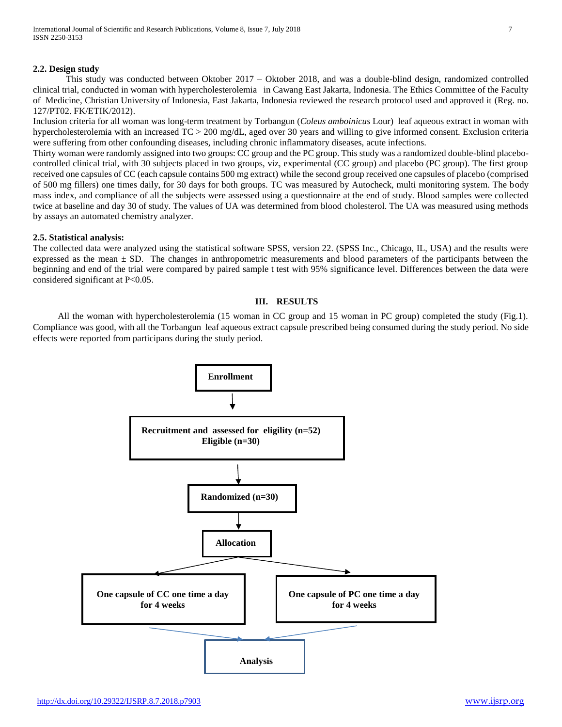## **2.2. Design study**

This study was conducted between Oktober 2017 – Oktober 2018, and was a double-blind design, randomized controlled clinical trial, conducted in woman with hypercholesterolemia in Cawang East Jakarta, Indonesia. The Ethics Committee of the Faculty of Medicine, Christian University of Indonesia, East Jakarta, Indonesia reviewed the research protocol used and approved it (Reg. no. 127/PT02. FK/ETIK/2012).

Inclusion criteria for all woman was long-term treatment by Torbangun (*Coleus amboinicus* Lour) leaf aqueous extract in woman with hypercholesterolemia with an increased TC > 200 mg/dL, aged over 30 years and willing to give informed consent. Exclusion criteria were suffering from other confounding diseases, including chronic inflammatory diseases, acute infections.

Thirty woman were randomly assigned into two groups: CC group and the PC group. This study was a randomized double-blind placebocontrolled clinical trial, with 30 subjects placed in two groups, viz, experimental (CC group) and placebo (PC group). The first group received one capsules of CC (each capsule contains 500 mg extract) while the second group received one capsules of placebo (comprised of 500 mg fillers) one times daily, for 30 days for both groups. TC was measured by Autocheck, multi monitoring system. The body mass index, and compliance of all the subjects were assessed using a questionnaire at the end of study. Blood samples were collected twice at baseline and day 30 of study. The values of UA was determined from blood cholesterol. The UA was measured using methods by assays an automated chemistry analyzer.

## **2.5. Statistical analysis:**

The collected data were analyzed using the statistical software SPSS, version 22. (SPSS Inc., Chicago, IL, USA) and the results were expressed as the mean  $\pm$  SD. The changes in anthropometric measurements and blood parameters of the participants between the beginning and end of the trial were compared by paired sample t test with 95% significance level. Differences between the data were considered significant at P<0.05.

# **III. RESULTS**

All the woman with hypercholesterolemia (15 woman in CC group and 15 woman in PC group) completed the study (Fig.1). Compliance was good, with all the Torbangun leaf aqueous extract capsule prescribed being consumed during the study period. No side effects were reported from participans during the study period.

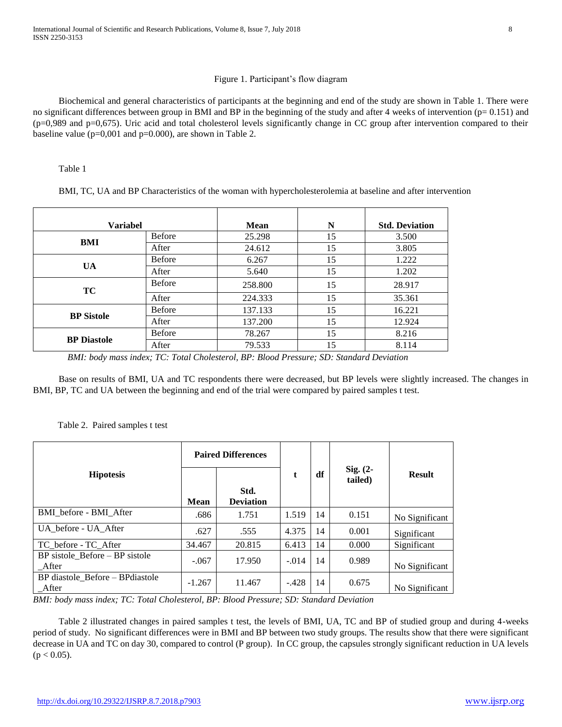# Figure 1. Participant's flow diagram

Biochemical and general characteristics of participants at the beginning and end of the study are shown in Table 1. There were no significant differences between group in BMI and BP in the beginning of the study and after 4 weeks of intervention (p= 0.151) and  $(p=0.989)$  and  $p=0.675$ ). Uric acid and total cholesterol levels significantly change in CC group after intervention compared to their baseline value ( $p=0,001$  and  $p=0.000$ ), are shown in Table 2.

Table 1

BMI, TC, UA and BP Characteristics of the woman with hypercholesterolemia at baseline and after intervention

| <b>Variabel</b>    |               | <b>Mean</b> | N  | <b>Std. Deviation</b> |  |
|--------------------|---------------|-------------|----|-----------------------|--|
| BMI                | <b>Before</b> | 25.298      | 15 | 3.500                 |  |
|                    | After         | 24.612      | 15 | 3.805                 |  |
| <b>UA</b>          | <b>Before</b> | 6.267       | 15 | 1.222                 |  |
|                    | After         | 5.640       | 15 | 1.202                 |  |
| TC                 | <b>Before</b> | 258.800     | 15 | 28.917                |  |
|                    | After         | 224.333     | 15 | 35.361                |  |
| <b>BP</b> Sistole  | <b>Before</b> | 137.133     | 15 | 16.221                |  |
|                    | After         | 137.200     | 15 | 12.924                |  |
| <b>BP</b> Diastole | <b>Before</b> | 78.267      | 15 | 8.216                 |  |
|                    | After         | 79.533      | 15 | 8.114                 |  |

*BMI: body mass index; TC: Total Cholesterol, BP: Blood Pressure; SD: Standard Deviation* 

Base on results of BMI, UA and TC respondents there were decreased, but BP levels were slightly increased. The changes in BMI, BP, TC and UA between the beginning and end of the trial were compared by paired samples t test.

# Table 2. Paired samples t test

|                                           | <b>Paired Differences</b> |                          |         |    |                       |                |
|-------------------------------------------|---------------------------|--------------------------|---------|----|-----------------------|----------------|
| <b>Hipotesis</b>                          | <b>Mean</b>               | Std.<br><b>Deviation</b> |         | df | Sig. $(2-$<br>tailed) | <b>Result</b>  |
| BMI before - BMI_After                    | .686                      | 1.751                    | 1.519   | 14 | 0.151                 | No Significant |
| UA before - UA After                      | .627                      | .555                     | 4.375   | 14 | 0.001                 | Significant    |
| TC before - TC After                      | 34.467                    | 20.815                   | 6.413   | 14 | 0.000                 | Significant    |
| BP sistole_Before - BP sistole<br>After   | $-.067$                   | 17.950                   | $-.014$ | 14 | 0.989                 | No Significant |
| BP diastole Before – BP diastole<br>After | $-1.267$                  | 11.467                   | $-.428$ | 14 | 0.675                 | No Significant |

*BMI: body mass index; TC: Total Cholesterol, BP: Blood Pressure; SD: Standard Deviation*

Table 2 illustrated changes in paired samples t test, the levels of BMI, UA, TC and BP of studied group and during 4-weeks period of study. No significant differences were in BMI and BP between two study groups. The results show that there were significant decrease in UA and TC on day 30, compared to control (P group). In CC group, the capsules strongly significant reduction in UA levels  $(p < 0.05)$ .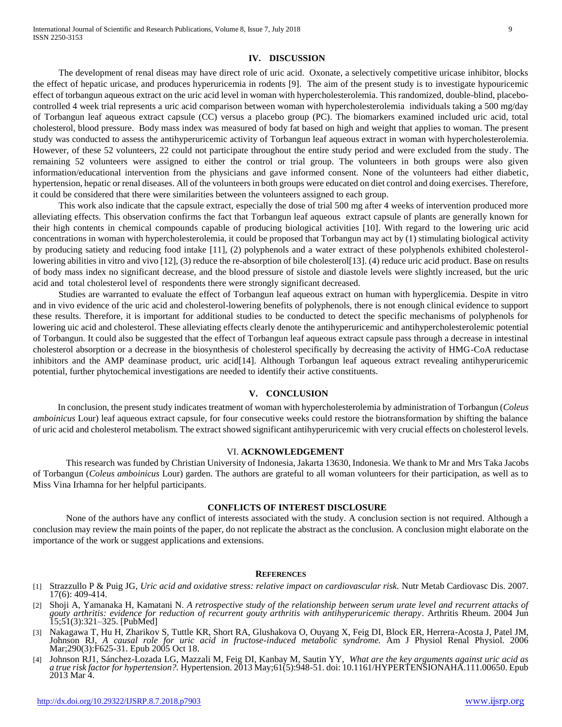#### **IV. DISCUSSION**

The development of renal diseas may have direct role of uric acid. Oxonate, a selectively competitive uricase inhibitor, blocks the effect of hepatic uricase, and produces hyperuricemia in rodents [9]. The aim of the present study is to investigate hypouricemic effect of torbangun aqueous extract on the uric acid level in woman with hypercholesterolemia. This randomized, double-blind, placebocontrolled 4 week trial represents a uric acid comparison between woman with hypercholesterolemia individuals taking a 500 mg/day of Torbangun leaf aqueous extract capsule (CC) versus a placebo group (PC). The biomarkers examined included uric acid, total cholesterol, blood pressure. Body mass index was measured of body fat based on high and weight that applies to woman. The present study was conducted to assess the antihyperuricemic activity of Torbangun leaf aqueous extract in woman with hypercholesterolemia. However, of these 52 volunteers, 22 could not participate throughout the entire study period and were excluded from the study. The remaining 52 volunteers were assigned to either the control or trial group. The volunteers in both groups were also given information/educational intervention from the physicians and gave informed consent. None of the volunteers had either diabetic, hypertension, hepatic or renal diseases. All of the volunteers in both groups were educated on diet control and doing exercises. Therefore, it could be considered that there were similarities between the volunteers assigned to each group.

This work also indicate that the capsule extract, especially the dose of trial 500 mg after 4 weeks of intervention produced more alleviating effects. This observation confirms the fact that Torbangun leaf aqueous extract capsule of plants are generally known for their high contents in chemical compounds capable of producing biological activities [10]. With regard to the lowering uric acid concentrations in woman with hypercholesterolemia, it could be proposed that Torbangun may act by (1) stimulating biological activity by producing satiety and reducing food intake [11], (2) polyphenols and a water extract of these polyphenols exhibited cholesterollowering abilities in vitro and vivo [12], (3) reduce the re-absorption of bile cholesterol[13]. (4) reduce uric acid product. Base on results of body mass index no significant decrease, and the blood pressure of sistole and diastole levels were slightly increased, but the uric acid and total cholesterol level of respondents there were strongly significant decreased.

Studies are warranted to evaluate the effect of Torbangun leaf aqueous extract on human with hyperglicemia. Despite in vitro and in vivo evidence of the uric acid and cholesterol-lowering benefits of polyphenols, there is not enough clinical evidence to support these results. Therefore, it is important for additional studies to be conducted to detect the specific mechanisms of polyphenols for lowering uic acid and cholesterol. These alleviating effects clearly denote the antihyperuricemic and antihypercholesterolemic potential of Torbangun. It could also be suggested that the effect of Torbangun leaf aqueous extract capsule pass through a decrease in intestinal cholesterol absorption or a decrease in the biosynthesis of cholesterol specifically by decreasing the activity of HMG-CoA reductase inhibitors and the AMP deaminase product, uric acid[14]. Although Torbangun leaf aqueous extract revealing antihyperuricemic potential, further phytochemical investigations are needed to identify their active constituents.

## **V. CONCLUSION**

In conclusion, the present study indicates treatment of woman with hypercholesterolemia by administration of Torbangun (*Coleus amboinicus* Lour) leaf aqueous extract capsule, for four consecutive weeks could restore the biotransformation by shifting the balance of uric acid and cholesterol metabolism. The extract showed significant antihyperuricemic with very crucial effects on cholesterol levels.

#### VI. **ACKNOWLEDGEMENT**

This research was funded by Christian University of Indonesia, Jakarta 13630, Indonesia. We thank to Mr and Mrs Taka Jacobs of Torbangun (*Coleus amboinicus* Lour) garden. The authors are grateful to all woman volunteers for their participation, as well as to Miss Vina Irhamna for her helpful participants.

#### **CONFLICTS OF INTEREST DISCLOSURE**

None of the authors have any conflict of interests associated with the study. A conclusion section is not required. Although a conclusion may review the main points of the paper, do not replicate the abstract as the conclusion. A conclusion might elaborate on the importance of the work or suggest applications and extensions.

#### **REFERENCES**

- [1] Strazzullo P & Puig JG, *Uric acid and oxidative stress: relative impact on cardiovascular risk.* Nutr Metab Cardiovasc Dis. 2007. 17(6): 409-414.
- [2] Shoji A, Yamanaka H, Kamatani N. *A retrospective study of the relationship between serum urate level and recurrent attacks of gouty arthritis: evidence for reduction of recurrent gouty arthritis with antihyperuricemic therapy*. Arthritis Rheum. 2004 Jun 15;51(3):321–325. [PubMed]
- [3] Nakagawa T, Hu H, Zharikov S, Tuttle KR, Short RA, Glushakova O, Ouyang X, Feig DI, Block ER, Herrera-Acosta J, Patel JM, Johnson RJ, *A causal role for uric acid in fructose-induced metabolic syndrome.* Am J Physiol Renal Physiol. 2006 Mar;290(3):F625-31. Epub 2005 Oct 18.
- [4] Johnson RJ1, Sánchez-Lozada LG, Mazzali M, Feig DI, Kanbay M, Sautin YY, *What are the key arguments against uric acid as a true risk factor for hypertension?.* Hypertension. 2013 May;61(5):948-51. doi: 10.1161/HYPERTENSIONAHA.111.00650. Epub 2013 Mar 4.